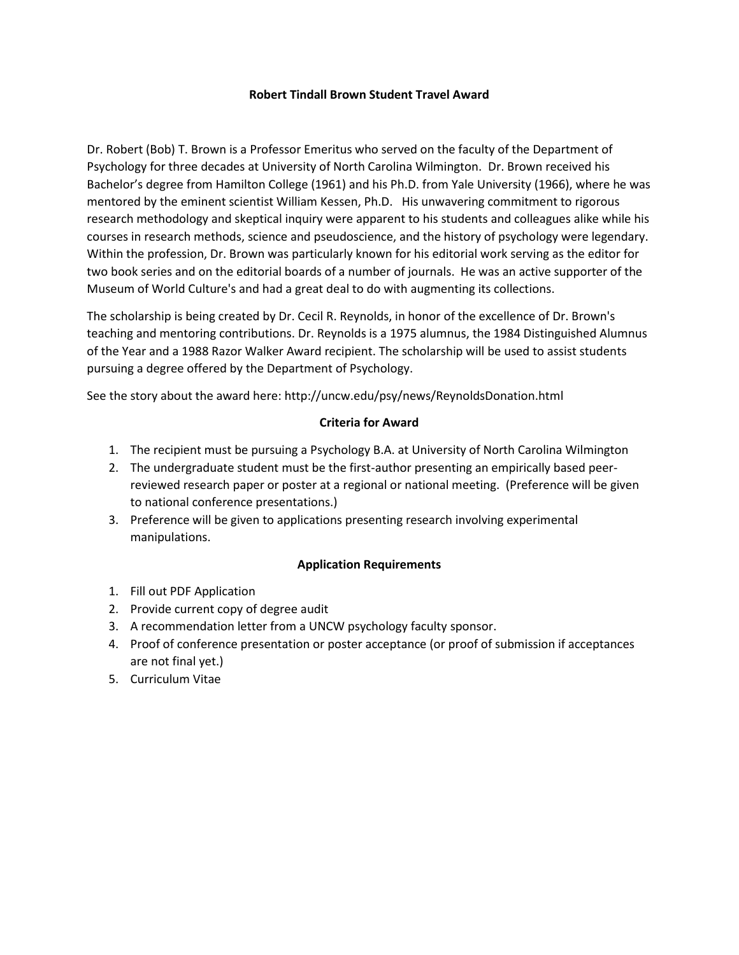### **Robert Tindall Brown Student Travel Award**

Dr. Robert (Bob) T. Brown is a Professor Emeritus who served on the faculty of the Department of Psychology for three decades at University of North Carolina Wilmington. Dr. Brown received his Bachelor's degree from Hamilton College (1961) and his Ph.D. from Yale University (1966), where he was mentored by the eminent scientist William Kessen, Ph.D. His unwavering commitment to rigorous research methodology and skeptical inquiry were apparent to his students and colleagues alike while his courses in research methods, science and pseudoscience, and the history of psychology were legendary. Within the profession, Dr. Brown was particularly known for his editorial work serving as the editor for two book series and on the editorial boards of a number of journals. He was an active supporter of the Museum of World Culture's and had a great deal to do with augmenting its collections.

The scholarship is being created by Dr. Cecil R. Reynolds, in honor of the excellence of Dr. Brown's teaching and mentoring contributions. Dr. Reynolds is a 1975 alumnus, the 1984 Distinguished Alumnus of the Year and a 1988 Razor Walker Award recipient. The scholarship will be used to assist students pursuing a degree offered by the Department of Psychology.

See the story about the award here: http://uncw.edu/psy/news/ReynoldsDonation.html

## **Criteria for Award**

- 1. The recipient must be pursuing a Psychology B.A. at University of North Carolina Wilmington
- 2. The undergraduate student must be the first-author presenting an empirically based peerreviewed research paper or poster at a regional or national meeting. (Preference will be given to national conference presentations.)
- 3. Preference will be given to applications presenting research involving experimental manipulations.

### **Application Requirements**

- 1. Fill out PDF Application
- 2. Provide current copy of degree audit
- 3. A recommendation letter from a UNCW psychology faculty sponsor.
- 4. Proof of conference presentation or poster acceptance (or proof of submission if acceptances are not final yet.)
- 5. Curriculum Vitae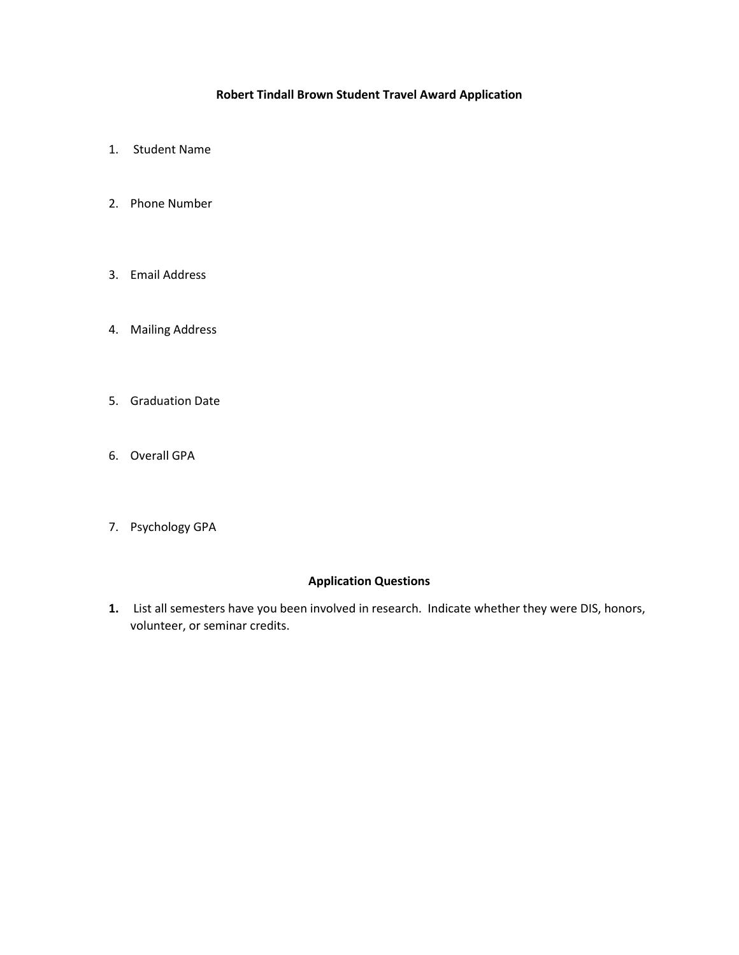# **Robert Tindall Brown Student Travel Award Application**

- 1. Student Name
- 2. Phone Number
- 3. Email Address
- 4. Mailing Address
- 5. Graduation Date
- 6. Overall GPA
- 7. Psychology GPA

### **Application Questions**

**1.** List all semesters have you been involved in research. Indicate whether they were DIS, honors, volunteer, or seminar credits.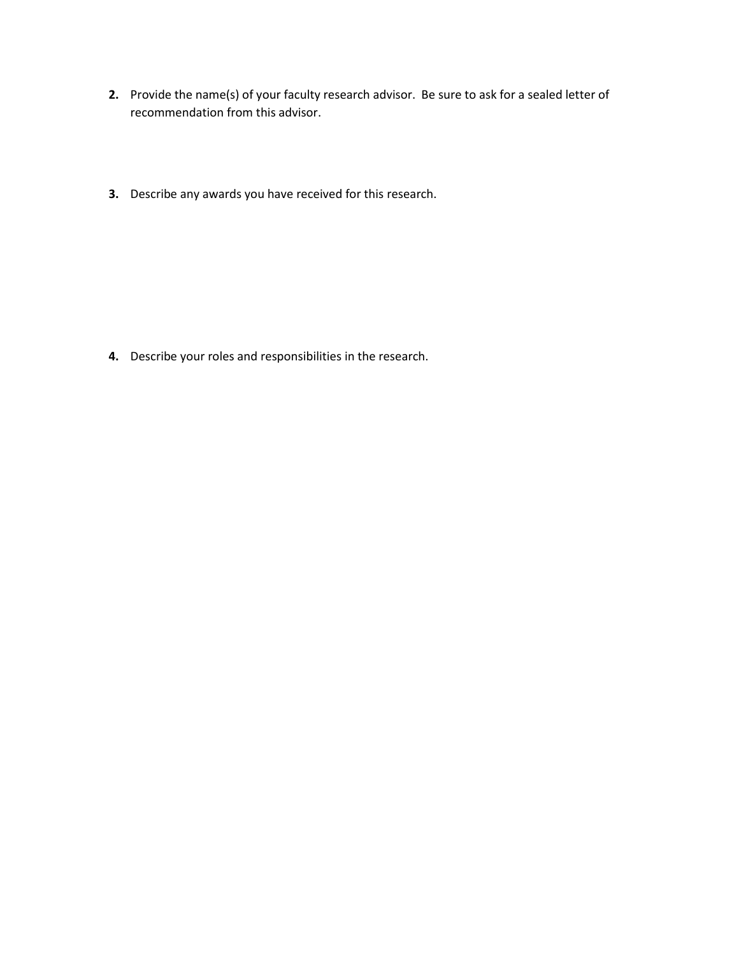- **2.** Provide the name(s) of your faculty research advisor. Be sure to ask for a sealed letter of recommendation from this advisor.
- **3.** Describe any awards you have received for this research.

**4.** Describe your roles and responsibilities in the research.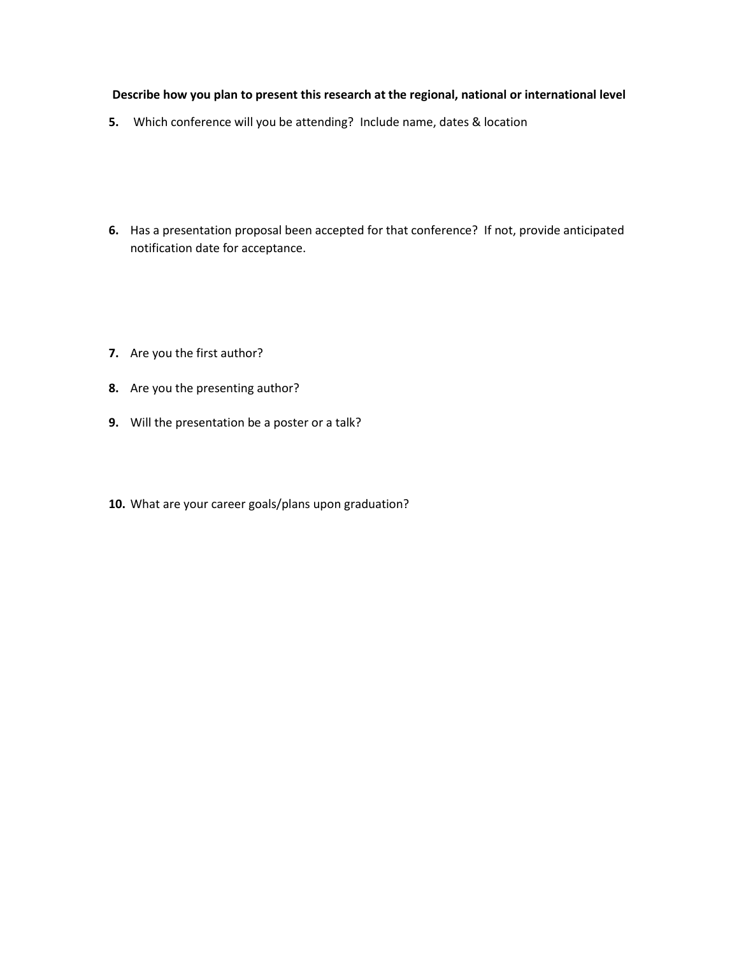### **Describe how you plan to present this research at the regional, national or international level**

- **5.** Which conference will you be attending? Include name, dates & location
- **6.** Has a presentation proposal been accepted for that conference? If not, provide anticipated notification date for acceptance.
- **7.** Are you the first author?
- **8.** Are you the presenting author?
- **9.** Will the presentation be a poster or a talk?
- **10.** What are your career goals/plans upon graduation?